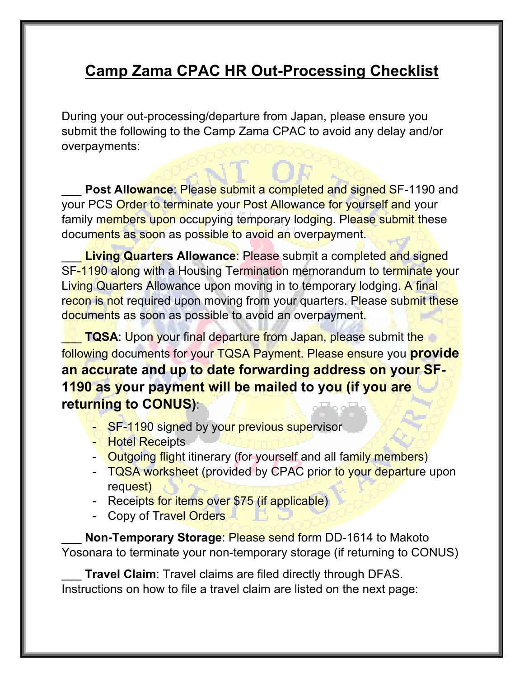# **Camp Zama CPAC HR Out-Processing Checklist**

During your out-processing/departure from Japan, please ensure you submit the following to the Camp Zama CPAC to avoid any delay and/or overpayments:

Post Allowance: Please submit a completed and signed SF-1190 and your PCS Order to terminate your Post Allowance for yourself and your family members upon occupying temporary lodging. Please submit these documents as soon as possible to avoid an overpayment.

**Living Quarters Allowance:** Please submit a completed and signed SF-1190 along with a Housing Termination memorandum to terminate your Living Quarters Allowance upon moving in to temporary lodging. A final recon is not required upon moving from your quarters. Please submit these documents as soon as possible to avoid an overpayment.

**TQSA: Upon your final departure from Japan, please submit the** following documents for your TQSA Payment. Please ensure you **provide an accurate and up to date forwarding address on your SF-1190 as your payment will be mailed to you (if you are returning to CONUS)**:

- SF-1190 signed by your previous supervisor
- Hotel Receipts
- Outgoing flight itinerary (for yourself and all family members)
- TQSA worksheet (provided by CPAC prior to your departure upon request)
- Receipts for items over \$75 (if applicable)
- Copy of Travel Orders

\_\_\_ **Non-Temporary Storage**: Please send form DD-1614 to Makoto Yosonara to terminate your non-temporary storage (if returning to CONUS)

**Travel Claim:** Travel claims are filed directly through DFAS. Instructions on how to file a travel claim are listed on the next page: